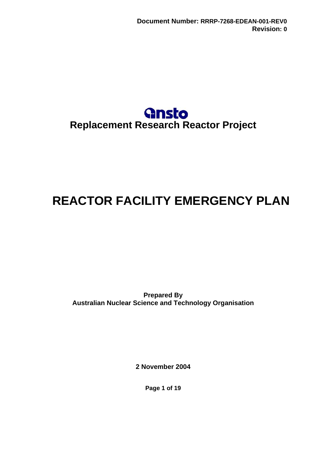

# <span id="page-0-0"></span>**REACTOR FACILITY EMERGENCY PLAN**

**Prepared By Australian Nuclear Science and Technology Organisation** 

**2 November 2004** 

**Page 1 of 19**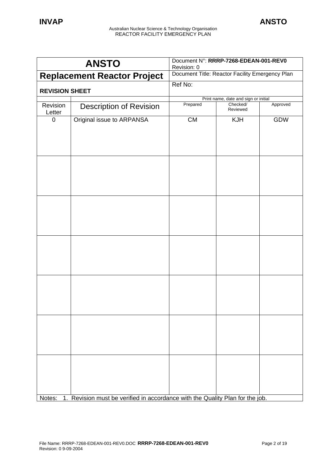|                                    | <b>ANSTO</b>                                                                  | Document N°: RRRP-7268-EDEAN-001-REV0<br>Revision: 0 |                                      |          |
|------------------------------------|-------------------------------------------------------------------------------|------------------------------------------------------|--------------------------------------|----------|
| <b>Replacement Reactor Project</b> |                                                                               | Document Title: Reactor Facility Emergency Plan      |                                      |          |
| <b>REVISION SHEET</b>              |                                                                               | Ref No:                                              |                                      |          |
|                                    |                                                                               |                                                      | Print name, date and sign or initial |          |
| Revision<br>Letter                 | <b>Description of Revision</b>                                                | Prepared                                             | Checked/<br>Reviewed                 | Approved |
| 0                                  | Original issue to ARPANSA                                                     | CM                                                   | <b>KJH</b>                           | GDW      |
|                                    |                                                                               |                                                      |                                      |          |
|                                    |                                                                               |                                                      |                                      |          |
|                                    |                                                                               |                                                      |                                      |          |
|                                    |                                                                               |                                                      |                                      |          |
|                                    |                                                                               |                                                      |                                      |          |
| Notes:                             | 1. Revision must be verified in accordance with the Quality Plan for the job. |                                                      |                                      |          |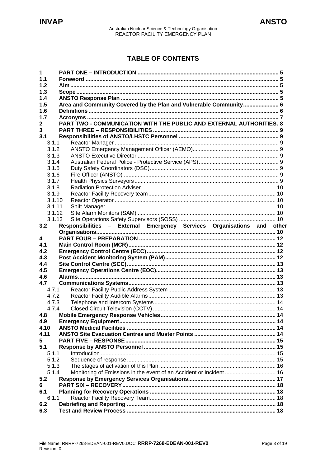# **TABLE OF CONTENTS**

| 1              |                                                                        |  |
|----------------|------------------------------------------------------------------------|--|
| 1.1            |                                                                        |  |
| 1.2            |                                                                        |  |
| 1.3            |                                                                        |  |
| 1.4            |                                                                        |  |
| 1.5            | Area and Community Covered by the Plan and Vulnerable Community 6      |  |
| 1.6            |                                                                        |  |
| 1.7            | PART TWO - COMMUNICATION WITH THE PUBLIC AND EXTERNAL AUTHORITIES. 8   |  |
| $\mathbf{2}$   |                                                                        |  |
| 3              |                                                                        |  |
| 3.1<br>3.1.1   |                                                                        |  |
| 3.1.2          |                                                                        |  |
| 3.1.3          |                                                                        |  |
| 3.1.4          |                                                                        |  |
| 3.1.5          |                                                                        |  |
| 3.1.6          |                                                                        |  |
| 3.1.7          |                                                                        |  |
| 3.1.8          |                                                                        |  |
| 3.1.9          |                                                                        |  |
| 3.1.10         |                                                                        |  |
| 3.1.11         |                                                                        |  |
| 3.1.12         |                                                                        |  |
| 3.1.13         |                                                                        |  |
| 3.2            | Responsibilities - External Emergency Services Organisations and other |  |
|                |                                                                        |  |
| 4              |                                                                        |  |
| 4.1            |                                                                        |  |
| 4.2            |                                                                        |  |
| 4.3            |                                                                        |  |
| 4.4            |                                                                        |  |
| 4.5            |                                                                        |  |
| 4.6            |                                                                        |  |
| 4.7            |                                                                        |  |
| 4.7.1          |                                                                        |  |
| 4.7.2<br>4.7.3 |                                                                        |  |
| 4.7.4          |                                                                        |  |
| 4.8            |                                                                        |  |
| 4.9            |                                                                        |  |
| 4.10           |                                                                        |  |
| 4.11           |                                                                        |  |
| 5              |                                                                        |  |
| 5.1            |                                                                        |  |
| 5.1.1          |                                                                        |  |
| 5.1.2          |                                                                        |  |
| 5.1.3          |                                                                        |  |
| 5.1.4          |                                                                        |  |
| 5.2            |                                                                        |  |
| 6              |                                                                        |  |
| 6.1            |                                                                        |  |
| 6.1.1          |                                                                        |  |
| 6.2            |                                                                        |  |
| 6.3            |                                                                        |  |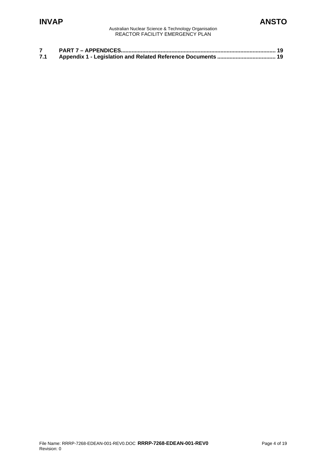# **INVAP ANSTO**

Australian Nuclear Science & Technology Organisation REACTOR FACILITY EMERGENCY PLAN

| 7.1 |  |
|-----|--|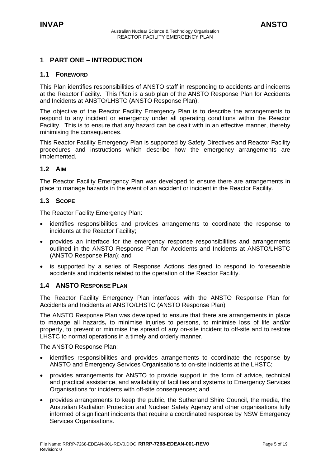# <span id="page-4-0"></span>**1 PART ONE – INTRODUCTION**

#### **1.1 FOREWORD**

This Plan identifies responsibilities of ANSTO staff in responding to accidents and incidents at the Reactor Facility. This Plan is a sub plan of the ANSTO Response Plan for Accidents and Incidents at ANSTO/LHSTC (ANSTO Response Plan).

The objective of the Reactor Facility Emergency Plan is to describe the arrangements to respond to any incident or emergency under all operating conditions within the Reactor Facility. This is to ensure that any hazard can be dealt with in an effective manner, thereby minimising the consequences.

This Reactor Facility Emergency Plan is supported by Safety Directives and Reactor Facility procedures and instructions which describe how the emergency arrangements are implemented.

#### **1.2 AIM**

The Reactor Facility Emergency Plan was developed to ensure there are arrangements in place to manage hazards in the event of an accident or incident in the Reactor Facility.

#### **1.3 SCOPE**

The Reactor Facility Emergency Plan:

- identifies responsibilities and provides arrangements to coordinate the response to incidents at the Reactor Facility;
- provides an interface for the emergency response responsibilities and arrangements outlined in the ANSTO Response Plan for Accidents and Incidents at ANSTO/LHSTC (ANSTO Response Plan); and
- is supported by a series of Response Actions designed to respond to foreseeable accidents and incidents related to the operation of the Reactor Facility.

#### **1.4 ANSTO RESPONSE PLAN**

The Reactor Facility Emergency Plan interfaces with the ANSTO Response Plan for Accidents and Incidents at ANSTO/LHSTC (ANSTO Response Plan)

The ANSTO Response Plan was developed to ensure that there are arrangements in place to manage all hazards**,** to minimise injuries to persons, to minimise loss of life and/or property, to prevent or minimise the spread of any on-site incident to off-site and to restore LHSTC to normal operations in a timely and orderly manner.

The ANSTO Response Plan:

- identifies responsibilities and provides arrangements to coordinate the response by ANSTO and Emergency Services Organisations to on-site incidents at the LHSTC;
- provides arrangements for ANSTO to provide support in the form of advice, technical and practical assistance, and availability of facilities and systems to Emergency Services Organisations for incidents with off-site consequences; and
- provides arrangements to keep the public, the Sutherland Shire Council, the media, the Australian Radiation Protection and Nuclear Safety Agency and other organisations fully informed of significant incidents that require a coordinated response by NSW Emergency Services Organisations.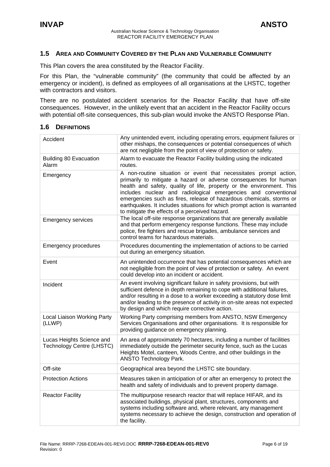#### <span id="page-5-0"></span>**1.5 AREA AND COMMUNITY COVERED BY THE PLAN AND VULNERABLE COMMUNITY**

This Plan covers the area constituted by the Reactor Facility.

For this Plan, the "vulnerable community" (the community that could be affected by an emergency or incident), is defined as employees of all organisations at the LHSTC, together with contractors and visitors.

There are no postulated accident scenarios for the Reactor Facility that have off-site consequences. However, in the unlikely event that an accident in the Reactor Facility occurs with potential off-site consequences, this sub-plan would invoke the ANSTO Response Plan.

| Accident                                                      | Any unintended event, including operating errors, equipment failures or<br>other mishaps, the consequences or potential consequences of which<br>are not negligible from the point of view of protection or safety.                                                                                                                                                                                                                                                                    |
|---------------------------------------------------------------|----------------------------------------------------------------------------------------------------------------------------------------------------------------------------------------------------------------------------------------------------------------------------------------------------------------------------------------------------------------------------------------------------------------------------------------------------------------------------------------|
| <b>Building 80 Evacuation</b><br>Alarm                        | Alarm to evacuate the Reactor Facility building using the indicated<br>routes.                                                                                                                                                                                                                                                                                                                                                                                                         |
| Emergency                                                     | A non-routine situation or event that necessitates prompt action,<br>primarily to mitigate a hazard or adverse consequences for human<br>health and safety, quality of life, property or the environment. This<br>includes nuclear and radiological emergencies and conventional<br>emergencies such as fires, release of hazardous chemicals, storms or<br>earthquakes. It includes situations for which prompt action is warranted<br>to mitigate the effects of a perceived hazard. |
| <b>Emergency services</b>                                     | The local off-site response organizations that are generally available<br>and that perform emergency response functions. These may include<br>police, fire fighters and rescue brigades, ambulance services and<br>control teams for hazardous materials.                                                                                                                                                                                                                              |
| <b>Emergency procedures</b>                                   | Procedures documenting the implementation of actions to be carried<br>out during an emergency situation.                                                                                                                                                                                                                                                                                                                                                                               |
| Event                                                         | An unintended occurrence that has potential consequences which are<br>not negligible from the point of view of protection or safety. An event<br>could develop into an incident or accident.                                                                                                                                                                                                                                                                                           |
| Incident                                                      | An event involving significant failure in safety provisions, but with<br>sufficient defence in depth remaining to cope with additional failures,<br>and/or resulting in a dose to a worker exceeding a statutory dose limit<br>and/or leading to the presence of activity in on-site areas not expected<br>by design and which require corrective action.                                                                                                                              |
| Local Liaison Working Party<br>(LLWP)                         | Working Party comprising members from ANSTO, NSW Emergency<br>Services Organisations and other organisations. It is responsible for<br>providing guidance on emergency planning.                                                                                                                                                                                                                                                                                                       |
| Lucas Heights Science and<br><b>Technology Centre (LHSTC)</b> | An area of approximately 70 hectares, including a number of facilities<br>immediately outside the perimeter security fence, such as the Lucas<br>Heights Motel, canteen, Woods Centre, and other buildings in the<br><b>ANSTO Technology Park.</b>                                                                                                                                                                                                                                     |
| Off-site                                                      | Geographical area beyond the LHSTC site boundary.                                                                                                                                                                                                                                                                                                                                                                                                                                      |
| <b>Protection Actions</b>                                     | Measures taken in anticipation of or after an emergency to protect the<br>health and safety of individuals and to prevent property damage.                                                                                                                                                                                                                                                                                                                                             |
| <b>Reactor Facility</b>                                       | The multipurpose research reactor that will replace HIFAR, and its<br>associated buildings, physical plant, structures, components and<br>systems including software and, where relevant, any management<br>systems necessary to achieve the design, construction and operation of<br>the facility.                                                                                                                                                                                    |

#### **1.6 DEFINITIONS**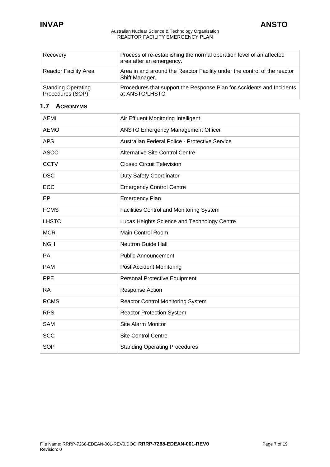<span id="page-6-0"></span>

| Recovery                                      | Process of re-establishing the normal operation level of an affected<br>area after an emergency. |
|-----------------------------------------------|--------------------------------------------------------------------------------------------------|
| <b>Reactor Facility Area</b>                  | Area in and around the Reactor Facility under the control of the reactor<br>Shift Manager.       |
| <b>Standing Operating</b><br>Procedures (SOP) | Procedures that support the Response Plan for Accidents and Incidents<br>at ANSTO/LHSTC.         |

## **1.7 ACRONYMS**

| <b>AEMI</b>  | Air Effluent Monitoring Intelligent            |
|--------------|------------------------------------------------|
| <b>AEMO</b>  | <b>ANSTO Emergency Management Officer</b>      |
| <b>APS</b>   | Australian Federal Police - Protective Service |
| <b>ASCC</b>  | <b>Alternative Site Control Centre</b>         |
| <b>CCTV</b>  | <b>Closed Circuit Television</b>               |
| <b>DSC</b>   | <b>Duty Safety Coordinator</b>                 |
| <b>ECC</b>   | <b>Emergency Control Centre</b>                |
| EP           | <b>Emergency Plan</b>                          |
| <b>FCMS</b>  | Facilities Control and Monitoring System       |
| <b>LHSTC</b> | Lucas Heights Science and Technology Centre    |
| <b>MCR</b>   | Main Control Room                              |
| <b>NGH</b>   | <b>Neutron Guide Hall</b>                      |
| PA           | <b>Public Announcement</b>                     |
| <b>PAM</b>   | Post Accident Monitoring                       |
| <b>PPE</b>   | <b>Personal Protective Equipment</b>           |
| <b>RA</b>    | Response Action                                |
| <b>RCMS</b>  | <b>Reactor Control Monitoring System</b>       |
| <b>RPS</b>   | <b>Reactor Protection System</b>               |
| <b>SAM</b>   | Site Alarm Monitor                             |
| <b>SCC</b>   | <b>Site Control Centre</b>                     |
| <b>SOP</b>   | <b>Standing Operating Procedures</b>           |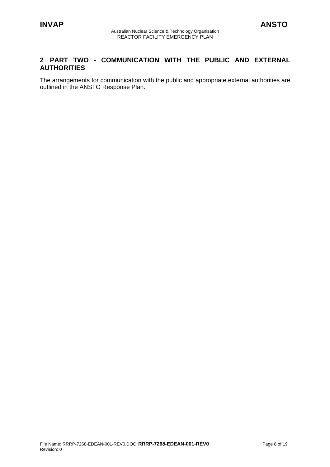## <span id="page-7-0"></span>**2 PART TWO - COMMUNICATION WITH THE PUBLIC AND EXTERNAL AUTHORITIES**

The arrangements for communication with the public and appropriate external authorities are outlined in the ANSTO Response Plan.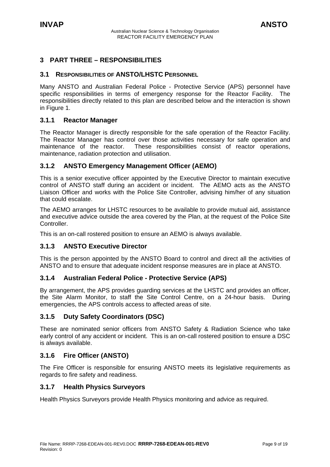# <span id="page-8-0"></span>**3 PART THREE – RESPONSIBILITIES**

#### **3.1 RESPONSIBILITIES OF ANSTO/LHSTC PERSONNEL**

Many ANSTO and Australian Federal Police - Protective Service (APS) personnel have specific responsibilities in terms of emergency response for the Reactor Facility. The responsibilities directly related to this plan are described below and the interaction is shown in Figure 1.

#### **3.1.1 Reactor Manager**

The Reactor Manager is directly responsible for the safe operation of the Reactor Facility. The Reactor Manager has control over those activities necessary for safe operation and maintenance of the reactor. These responsibilities consist of reactor operations, maintenance, radiation protection and utilisation.

#### **3.1.2 ANSTO Emergency Management Officer (AEMO)**

This is a senior executive officer appointed by the Executive Director to maintain executive control of ANSTO staff during an accident or incident. The AEMO acts as the ANSTO Liaison Officer and works with the Police Site Controller, advising him/her of any situation that could escalate.

The AEMO arranges for LHSTC resources to be available to provide mutual aid, assistance and executive advice outside the area covered by the Plan, at the request of the Police Site Controller.

This is an on-call rostered position to ensure an AEMO is always available.

## **3.1.3 ANSTO Executive Director**

This is the person appointed by the ANSTO Board to control and direct all the activities of ANSTO and to ensure that adequate incident response measures are in place at ANSTO.

#### **3.1.4 Australian Federal Police - Protective Service (APS)**

By arrangement, the APS provides guarding services at the LHSTC and provides an officer, the Site Alarm Monitor, to staff the Site Control Centre, on a 24-hour basis. During emergencies, the APS controls access to affected areas of site.

#### **3.1.5 Duty Safety Coordinators (DSC)**

These are nominated senior officers from ANSTO Safety & Radiation Science who take early control of any accident or incident. This is an on-call rostered position to ensure a DSC is always available.

## **3.1.6 Fire Officer (ANSTO)**

The Fire Officer is responsible for ensuring ANSTO meets its legislative requirements as regards to fire safety and readiness.

#### **3.1.7 Health Physics Surveyors**

Health Physics Surveyors provide Health Physics monitoring and advice as required.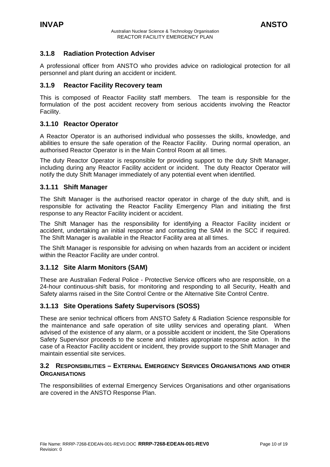#### <span id="page-9-0"></span>**3.1.8 Radiation Protection Adviser**

A professional officer from ANSTO who provides advice on radiological protection for all personnel and plant during an accident or incident.

#### **3.1.9 Reactor Facility Recovery team**

This is composed of Reactor Facility staff members. The team is responsible for the formulation of the post accident recovery from serious accidents involving the Reactor Facility.

#### **3.1.10 Reactor Operator**

A Reactor Operator is an authorised individual who possesses the skills, knowledge, and abilities to ensure the safe operation of the Reactor Facility. During normal operation, an authorised Reactor Operator is in the Main Control Room at all times.

The duty Reactor Operator is responsible for providing support to the duty Shift Manager, including during any Reactor Facility accident or incident. The duty Reactor Operator will notify the duty Shift Manager immediately of any potential event when identified.

#### **3.1.11 Shift Manager**

The Shift Manager is the authorised reactor operator in charge of the duty shift, and is responsible for activating the Reactor Facility Emergency Plan and initiating the first response to any Reactor Facility incident or accident.

The Shift Manager has the responsibility for identifying a Reactor Facility incident or accident, undertaking an initial response and contacting the SAM in the SCC if required. The Shift Manager is available in the Reactor Facility area at all times.

The Shift Manager is responsible for advising on when hazards from an accident or incident within the Reactor Facility are under control.

## **3.1.12 Site Alarm Monitors (SAM)**

These are Australian Federal Police - Protective Service officers who are responsible, on a 24-hour continuous-shift basis, for monitoring and responding to all Security, Health and Safety alarms raised in the Site Control Centre or the Alternative Site Control Centre.

## **3.1.13 Site Operations Safety Supervisors (SOSS)**

These are senior technical officers from ANSTO Safety & Radiation Science responsible for the maintenance and safe operation of site utility services and operating plant. When advised of the existence of any alarm, or a possible accident or incident, the Site Operations Safety Supervisor proceeds to the scene and initiates appropriate response action. In the case of a Reactor Facility accident or incident, they provide support to the Shift Manager and maintain essential site services.

#### **3.2 RESPONSIBILITIES – EXTERNAL EMERGENCY SERVICES ORGANISATIONS AND OTHER ORGANISATIONS**

The responsibilities of external Emergency Services Organisations and other organisations are covered in the ANSTO Response Plan.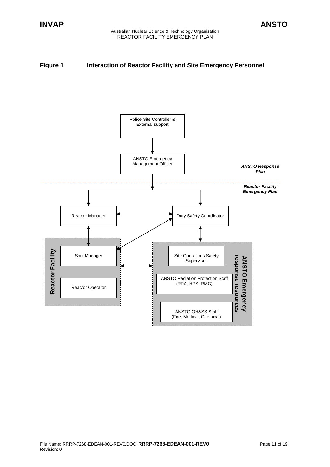## **Figure 1** Interaction of Reactor Facility and Site Emergency Personnel

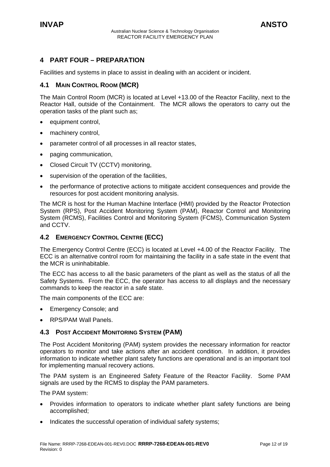# <span id="page-11-0"></span>**4 PART FOUR – PREPARATION**

Facilities and systems in place to assist in dealing with an accident or incident.

#### **4.1 MAIN CONTROL ROOM (MCR)**

The Main Control Room (MCR) is located at Level +13.00 of the Reactor Facility, next to the Reactor Hall, outside of the Containment. The MCR allows the operators to carry out the operation tasks of the plant such as;

- equipment control.
- machinery control.
- parameter control of all processes in all reactor states,
- paging communication,
- Closed Circuit TV (CCTV) monitoring,
- supervision of the operation of the facilities,
- the performance of protective actions to mitigate accident consequences and provide the resources for post accident monitoring analysis.

The MCR is host for the Human Machine Interface (HMI) provided by the Reactor Protection System (RPS), Post Accident Monitoring System (PAM), Reactor Control and Monitoring System (RCMS), Facilities Control and Monitoring System (FCMS), Communication System and CCTV.

#### **4.2 EMERGENCY CONTROL CENTRE (ECC)**

The Emergency Control Centre (ECC) is located at Level +4.00 of the Reactor Facility. The ECC is an alternative control room for maintaining the facility in a safe state in the event that the MCR is uninhabitable.

The ECC has access to all the basic parameters of the plant as well as the status of all the Safety Systems. From the ECC, the operator has access to all displays and the necessary commands to keep the reactor in a safe state.

The main components of the ECC are:

- Emergency Console; and
- RPS/PAM Wall Panels.

#### **4.3 POST ACCIDENT MONITORING SYSTEM (PAM)**

The Post Accident Monitoring (PAM) system provides the necessary information for reactor operators to monitor and take actions after an accident condition. In addition, it provides information to indicate whether plant safety functions are operational and is an important tool for implementing manual recovery actions.

The PAM system is an Engineered Safety Feature of the Reactor Facility. Some PAM signals are used by the RCMS to display the PAM parameters.

The PAM system:

- Provides information to operators to indicate whether plant safety functions are being accomplished;
- Indicates the successful operation of individual safety systems: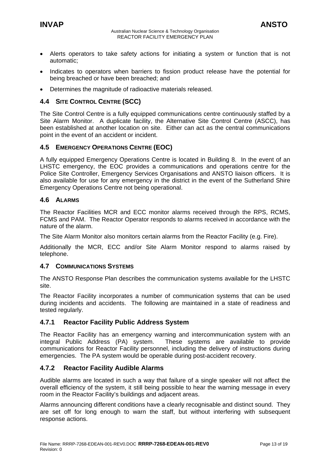- <span id="page-12-0"></span>• Alerts operators to take safety actions for initiating a system or function that is not automatic;
- Indicates to operators when barriers to fission product release have the potential for being breached or have been breached; and
- Determines the magnitude of radioactive materials released.

#### **4.4 SITE CONTROL CENTRE (SCC)**

The Site Control Centre is a fully equipped communications centre continuously staffed by a Site Alarm Monitor. A duplicate facility, the Alternative Site Control Centre (ASCC), has been established at another location on site. Either can act as the central communications point in the event of an accident or incident.

#### **4.5 EMERGENCY OPERATIONS CENTRE (EOC)**

A fully equipped Emergency Operations Centre is located in Building 8. In the event of an LHSTC emergency, the EOC provides a communications and operations centre for the Police Site Controller, Emergency Services Organisations and ANSTO liaison officers. It is also available for use for any emergency in the district in the event of the Sutherland Shire Emergency Operations Centre not being operational.

#### **4.6 ALARMS**

The Reactor Facilities MCR and ECC monitor alarms received through the RPS, RCMS, FCMS and PAM. The Reactor Operator responds to alarms received in accordance with the nature of the alarm.

The Site Alarm Monitor also monitors certain alarms from the Reactor Facility (e.g. Fire).

Additionally the MCR, ECC and/or Site Alarm Monitor respond to alarms raised by telephone.

#### **4.7 COMMUNICATIONS SYSTEMS**

The ANSTO Response Plan describes the communication systems available for the LHSTC site.

The Reactor Facility incorporates a number of communication systems that can be used during incidents and accidents. The following are maintained in a state of readiness and tested regularly.

#### **4.7.1 Reactor Facility Public Address System**

The Reactor Facility has an emergency warning and intercommunication system with an integral Public Address (PA) system. These systems are available to provide communications for Reactor Facility personnel, including the delivery of instructions during emergencies. The PA system would be operable during post-accident recovery.

#### **4.7.2 Reactor Facility Audible Alarms**

Audible alarms are located in such a way that failure of a single speaker will not affect the overall efficiency of the system, it still being possible to hear the warning message in every room in the Reactor Facility's buildings and adjacent areas.

Alarms announcing different conditions have a clearly recognisable and distinct sound. They are set off for long enough to warn the staff, but without interfering with subsequent response actions.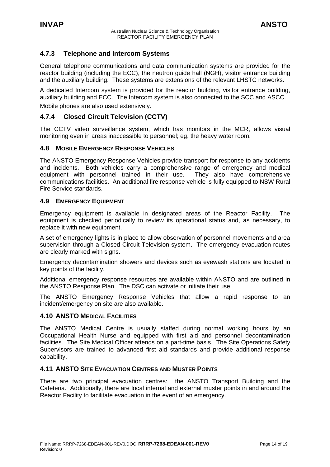### <span id="page-13-0"></span>**4.7.3 Telephone and Intercom Systems**

General telephone communications and data communication systems are provided for the reactor building (including the ECC), the neutron guide hall (NGH), visitor entrance building and the auxiliary building. These systems are extensions of the relevant LHSTC networks.

A dedicated Intercom system is provided for the reactor building, visitor entrance building, auxiliary building and ECC. The Intercom system is also connected to the SCC and ASCC. Mobile phones are also used extensively.

#### **4.7.4 Closed Circuit Television (CCTV)**

The CCTV video surveillance system, which has monitors in the MCR, allows visual monitoring even in areas inaccessible to personnel; eg, the heavy water room.

#### **4.8 MOBILE EMERGENCY RESPONSE VEHICLES**

The ANSTO Emergency Response Vehicles provide transport for response to any accidents and incidents. Both vehicles carry a comprehensive range of emergency and medical equipment with personnel trained in their use. They also have comprehensive communications facilities. An additional fire response vehicle is fully equipped to NSW Rural Fire Service standards.

#### **4.9 EMERGENCY EQUIPMENT**

Emergency equipment is available in designated areas of the Reactor Facility. The equipment is checked periodically to review its operational status and, as necessary, to replace it with new equipment.

A set of emergency lights is in place to allow observation of personnel movements and area supervision through a Closed Circuit Television system. The emergency evacuation routes are clearly marked with signs.

Emergency decontamination showers and devices such as eyewash stations are located in key points of the facility.

Additional emergency response resources are available within ANSTO and are outlined in the ANSTO Response Plan. The DSC can activate or initiate their use.

The ANSTO Emergency Response Vehicles that allow a rapid response to an incident/emergency on site are also available.

#### **4.10 ANSTO MEDICAL FACILITIES**

The ANSTO Medical Centre is usually staffed during normal working hours by an Occupational Health Nurse and equipped with first aid and personnel decontamination facilities. The Site Medical Officer attends on a part-time basis. The Site Operations Safety Supervisors are trained to advanced first aid standards and provide additional response capability.

#### **4.11 ANSTO SITE EVACUATION CENTRES AND MUSTER POINTS**

There are two principal evacuation centres: the ANSTO Transport Building and the Cafeteria. Additionally, there are local internal and external muster points in and around the Reactor Facility to facilitate evacuation in the event of an emergency.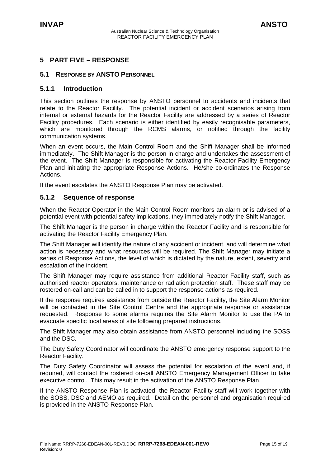# <span id="page-14-0"></span>**5 PART FIVE – RESPONSE**

#### **5.1 RESPONSE BY ANSTO PERSONNEL**

#### **5.1.1 Introduction**

This section outlines the response by ANSTO personnel to accidents and incidents that relate to the Reactor Facility. The potential incident or accident scenarios arising from internal or external hazards for the Reactor Facility are addressed by a series of Reactor Facility procedures. Each scenario is either identified by easily recognisable parameters, which are monitored through the RCMS alarms, or notified through the facility communication systems.

When an event occurs, the Main Control Room and the Shift Manager shall be informed immediately. The Shift Manager is the person in charge and undertakes the assessment of the event. The Shift Manager is responsible for activating the Reactor Facility Emergency Plan and initiating the appropriate Response Actions. He/she co-ordinates the Response Actions.

If the event escalates the ANSTO Response Plan may be activated.

#### **5.1.2 Sequence of response**

When the Reactor Operator in the Main Control Room monitors an alarm or is advised of a potential event with potential safety implications, they immediately notify the Shift Manager.

The Shift Manager is the person in charge within the Reactor Facility and is responsible for activating the Reactor Facility Emergency Plan.

The Shift Manager will identify the nature of any accident or incident, and will determine what action is necessary and what resources will be required. The Shift Manager may initiate a series of Response Actions, the level of which is dictated by the nature, extent, severity and escalation of the incident.

The Shift Manager may require assistance from additional Reactor Facility staff, such as authorised reactor operators, maintenance or radiation protection staff. These staff may be rostered on-call and can be called in to support the response actions as required.

If the response requires assistance from outside the Reactor Facility, the Site Alarm Monitor will be contacted in the Site Control Centre and the appropriate response or assistance requested. Response to some alarms requires the Site Alarm Monitor to use the PA to evacuate specific local areas of site following prepared instructions.

The Shift Manager may also obtain assistance from ANSTO personnel including the SOSS and the DSC.

The Duty Safety Coordinator will coordinate the ANSTO emergency response support to the Reactor Facility.

The Duty Safety Coordinator will assess the potential for escalation of the event and, if required, will contact the rostered on-call ANSTO Emergency Management Officer to take executive control. This may result in the activation of the ANSTO Response Plan.

If the ANSTO Response Plan is activated, the Reactor Facility staff will work together with the SOSS, DSC and AEMO as required. Detail on the personnel and organisation required is provided in the ANSTO Response Plan.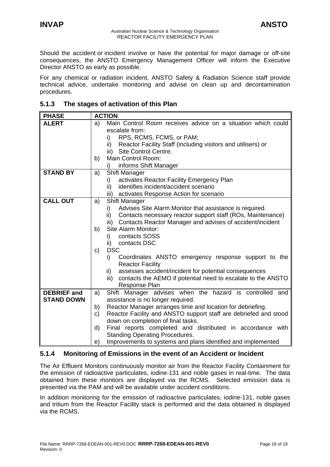<span id="page-15-0"></span>Should the accident or incident involve or have the potential for major damage or off-site consequences, the ANSTO Emergency Management Officer will inform the Executive Director ANSTO as early as possible.

For any chemical or radiation incident, ANSTO Safety & Radiation Science staff provide technical advice, undertake monitoring and advise on clean up and decontamination procedures.

#### **5.1.3 The stages of activation of this Plan**

| <b>PHASE</b>       | <b>ACTION</b>                                                          |
|--------------------|------------------------------------------------------------------------|
| <b>ALERT</b>       | Main Control Room receives advice on a situation which could<br>a)     |
|                    | escalate from:                                                         |
|                    | RPS, RCMS, FCMS, or PAM;<br>i)                                         |
|                    | Reactor Facility Staff (including visitors and utilisers) or<br>ii)    |
|                    | Site Control Centre.<br>iii)                                           |
|                    | Main Control Room:<br>b)                                               |
|                    | informs Shift Manager<br>i)                                            |
| <b>STAND BY</b>    | <b>Shift Manager</b><br>a)                                             |
|                    | activates Reactor Facility Emergency Plan<br>i)                        |
|                    | identifies incident/accident scenario<br>ii)                           |
|                    | activates Response Action for scenario<br>iii)                         |
| <b>CALL OUT</b>    | <b>Shift Manager</b><br>a)                                             |
|                    | Advises Site Alarm Monitor that assistance is required.<br>i)          |
|                    | ii) Contacts necessary reactor support staff (ROs, Maintenance)        |
|                    | iii) Contacts Reactor Manager and advises of accident/incident         |
|                    | Site Alarm Monitor:<br>b)                                              |
|                    | contacts SOSS<br>i)                                                    |
|                    | ii) contacts DSC                                                       |
|                    | <b>DSC</b><br>C)                                                       |
|                    | i)<br>Coordinates ANSTO emergency response support to the              |
|                    | <b>Reactor Facility</b>                                                |
|                    | assesses accident/incident for potential consequences<br>ii)           |
|                    | iii) contacts the AEMO if potential need to escalate to the ANSTO      |
|                    | Response Plan                                                          |
| <b>DEBRIEF</b> and | Shift Manager advises when the hazard is controlled and<br>a)          |
| <b>STAND DOWN</b>  | assistance is no longer required.                                      |
|                    | Reactor Manager arranges time and location for debriefing.<br>b)       |
|                    | Reactor Facility and ANSTO support staff are debriefed and stood<br>C) |
|                    | down on completion of final tasks.                                     |
|                    | Final reports completed and distributed in accordance with<br>d)       |
|                    | <b>Standing Operating Procedures.</b>                                  |
|                    | Improvements to systems and plans identified and implemented<br>e)     |

## **5.1.4 Monitoring of Emissions in the event of an Accident or Incident**

The Air Effluent Monitors continuously monitor air from the Reactor Facility Containment for the emission of radioactive particulates, iodine-131 and noble gases in real-time. The data obtained from these monitors are displayed via the RCMS. Selected emission data is presented via the PAM and will be available under accident conditions.

In addition monitoring for the emission of radioactive particulates, iodine-131, noble gases and tritium from the Reactor Facility stack is performed and the data obtained is displayed via the RCMS.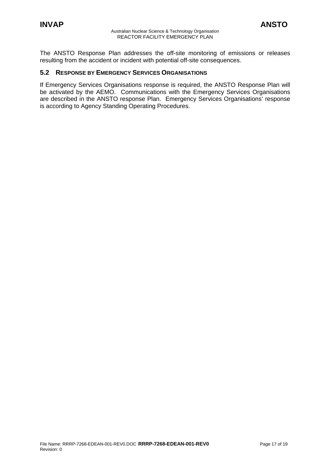<span id="page-16-0"></span>The ANSTO Response Plan addresses the off-site monitoring of emissions or releases resulting from the accident or incident with potential off-site consequences.

#### **5.2 RESPONSE BY EMERGENCY SERVICES ORGANISATIONS**

If Emergency Services Organisations response is required, the ANSTO Response Plan will be activated by the AEMO. Communications with the Emergency Services Organisations are described in the ANSTO response Plan. Emergency Services Organisations' response is according to Agency Standing Operating Procedures.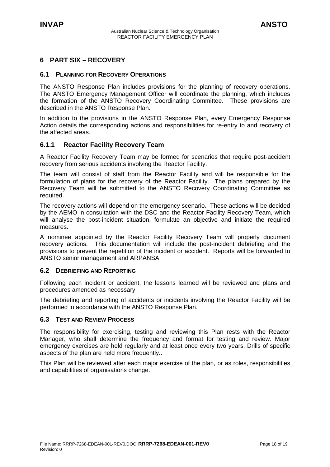## <span id="page-17-0"></span>**6 PART SIX – RECOVERY**

#### **6.1 PLANNING FOR RECOVERY OPERATIONS**

The ANSTO Response Plan includes provisions for the planning of recovery operations. The ANSTO Emergency Management Officer will coordinate the planning, which includes the formation of the ANSTO Recovery Coordinating Committee. These provisions are described in the ANSTO Response Plan.

In addition to the provisions in the ANSTO Response Plan, every Emergency Response Action details the corresponding actions and responsibilities for re-entry to and recovery of the affected areas.

#### **6.1.1 Reactor Facility Recovery Team**

A Reactor Facility Recovery Team may be formed for scenarios that require post-accident recovery from serious accidents involving the Reactor Facility.

The team will consist of staff from the Reactor Facility and will be responsible for the formulation of plans for the recovery of the Reactor Facility. The plans prepared by the Recovery Team will be submitted to the ANSTO Recovery Coordinating Committee as required.

The recovery actions will depend on the emergency scenario. These actions will be decided by the AEMO in consultation with the DSC and the Reactor Facility Recovery Team, which will analyse the post-incident situation, formulate an objective and initiate the required measures.

A nominee appointed by the Reactor Facility Recovery Team will properly document recovery actions. This documentation will include the post-incident debriefing and the provisions to prevent the repetition of the incident or accident. Reports will be forwarded to ANSTO senior management and ARPANSA.

#### **6.2 DEBRIEFING AND REPORTING**

Following each incident or accident, the lessons learned will be reviewed and plans and procedures amended as necessary.

The debriefing and reporting of accidents or incidents involving the Reactor Facility will be performed in accordance with the ANSTO Response Plan.

#### **6.3 TEST AND REVIEW PROCESS**

The responsibility for exercising, testing and reviewing this Plan rests with the Reactor Manager, who shall determine the frequency and format for testing and review. Major emergency exercises are held regularly and at least once every two years. Drills of specific aspects of the plan are held more frequently..

This Plan will be reviewed after each major exercise of the plan, or as roles, responsibilities and capabilities of organisations change.